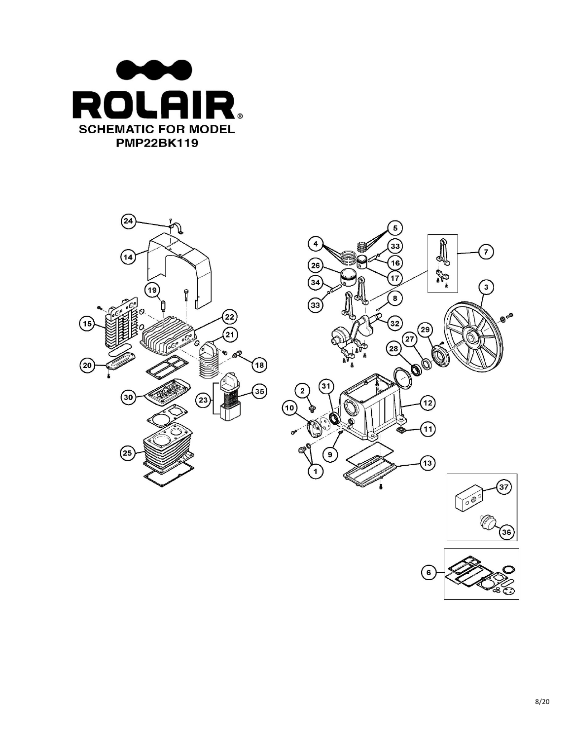